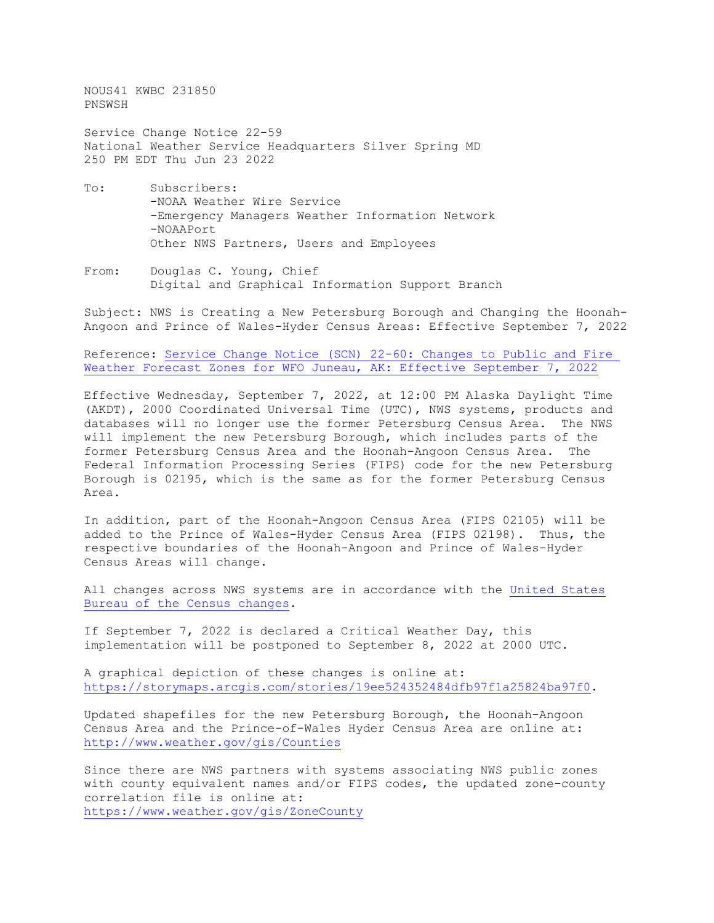NOUS41 KWBC 231850 PNSWSH

Service Change Notice 22-59 National Weather Service Headquarters Silver Spring MD 250 PM EDT Thu Jun 23 2022

- To: Subscribers: -NOAA Weather Wire Service -Emergency Managers Weather Information Network -NOAAPort Other NWS Partners, Users and Employees
- From: Douglas C. Young, Chief Digital and Graphical Information Support Branch

Subject: NWS is Creating a New Petersburg Borough and Changing the Hoonah-Angoon and Prince of Wales-Hyder Census Areas: Effective September 7, 2022

Reference: [Service Change Notice \(SCN\)](https://www.weather.gov/media/notification/pdf2/scn22-60_juneau_public_and_fire_zone_changes.pdf) 22-60: Changes to Public and Fire<br>Weather Forecast Zones for WFO Juneau, AK: Effective September 7, 2022 Weather [Forecast Zones for WFO Juneau, AK:](https://www.weather.gov/media/notification/pdf2/scn22-60_juneau_public_and_fire_zone_changes.pdf) Effective September 7,

Effective Wednesday, September 7, 2022, at 12:00 PM Alaska Daylight Time (AKDT), 2000 Coordinated Universal Time (UTC), NWS systems, products and databases will no longer use the former Petersburg Census Area. The NWS will implement the new Petersburg Borough, which includes parts of the former Petersburg Census Area and the Hoonah-Angoon Census Area. The Federal Information Processing Series (FIPS) code for the new Petersburg Borough is 02195, which is the same as for the former Petersburg Census Area.

In addition, part of the Hoonah-Angoon Census Area (FIPS 02105) will be added to the Prince of Wales-Hyder Census Area (FIPS 02198). Thus, the respective boundaries of the Hoonah-Angoon and Prince of Wales-Hyder Census Areas will change.

All changes across NWS systems are in accordance with the United [States](https://www.census.gov/programs-surveys/geography/technical-documentation/county-changes/2010.html) [Bureau of the Census changes.](https://www.census.gov/programs-surveys/geography/technical-documentation/county-changes/2010.html)

If September 7, 2022 is declared a Critical Weather Day, this implementation will be postponed to September 8, 2022 at 2000 UTC.

A graphical depiction of these changes is online at: [https://storymaps.arcgis.com/stories/19ee524352484dfb97f1a25824ba97f0.](https://storymaps.arcgis.com/stories/19ee524352484dfb97f1a25824ba97f0)

Updated shapefiles for the new Petersburg Borough, the Hoonah-Angoon Census Area and the Prince-of-Wales Hyder Census Area are online at: <http://www.weather.gov/gis/Counties>

Since there are NWS partners with systems associating NWS public zones with county equivalent names and/or FIPS codes, the updated zone-county correlation file is online at: <https://www.weather.gov/gis/ZoneCounty>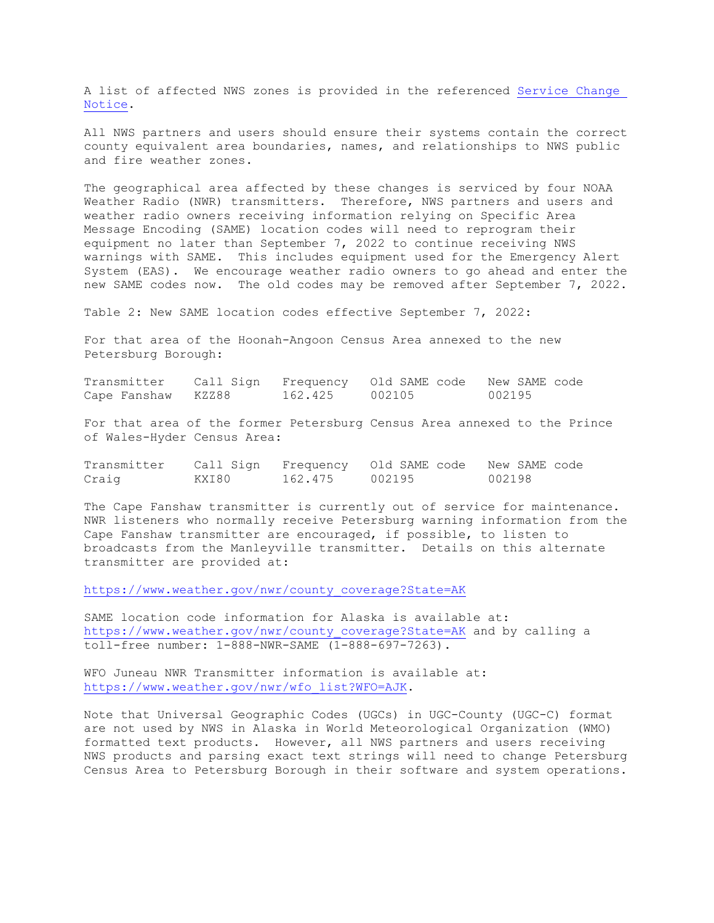A list of affected NWS zones is provided in the referenced Service [Change](https://www.weather.gov/media/notification/pdf2/scn22-60_juneau_public_and_fire_zone_changes.pdf)  [Notice.](https://www.weather.gov/media/notification/pdf2/scn22-60_juneau_public_and_fire_zone_changes.pdf)

All NWS partners and users should ensure their systems contain the correct county equivalent area boundaries, names, and relationships to NWS public and fire weather zones.

The geographical area affected by these changes is serviced by four NOAA Weather Radio (NWR) transmitters. Therefore, NWS partners and users and weather radio owners receiving information relying on Specific Area Message Encoding (SAME) location codes will need to reprogram their equipment no later than September 7, 2022 to continue receiving NWS warnings with SAME. This includes equipment used for the Emergency Alert System (EAS). We encourage weather radio owners to go ahead and enter the new SAME codes now. The old codes may be removed after September 7, 2022.

Table 2: New SAME location codes effective September 7, 2022:

For that area of the Hoonah-Angoon Census Area annexed to the new Petersburg Borough:

| Transmitter        |         | Call Sign Frequency Old SAME code New SAME code |        |
|--------------------|---------|-------------------------------------------------|--------|
| Cape Fanshaw KZZ88 | 162.425 | 002105                                          | 002195 |

For that area of the former Petersburg Census Area annexed to the Prince of Wales-Hyder Census Area:

|       |       |                | Transmitter Call Sign Frequency Old SAME code New SAME code |        |
|-------|-------|----------------|-------------------------------------------------------------|--------|
| Craig | KXI80 | 162.475 002195 |                                                             | 002198 |

The Cape Fanshaw transmitter is currently out of service for maintenance. NWR listeners who normally receive Petersburg warning information from the Cape Fanshaw transmitter are encouraged, if possible, to listen to broadcasts from the Manleyville transmitter. Details on this alternate transmitter are provided at:

[https://www.weather.gov/nwr/county\\_coverage?State=AK](https://www.weather.gov/nwr/county_coverage?State=AK)

SAME location code information for Alaska is available at: [https://www.weather.gov/nwr/county\\_coverage?State=AK](https://www.weather.gov/nwr/county_coverage?State=AK) and by calling a toll-free number: 1-888-NWR-SAME (1-888-697-7263).

WFO Juneau NWR Transmitter information is available at: [https://www.weather.gov/nwr/wfo\\_list?WFO=AJK.](https://www.weather.gov/nwr/wfo_list?WFO=AJK)

Note that Universal Geographic Codes (UGCs) in UGC-County (UGC-C) format are not used by NWS in Alaska in World Meteorological Organization (WMO) formatted text products. However, all NWS partners and users receiving NWS products and parsing exact text strings will need to change Petersburg Census Area to Petersburg Borough in their software and system operations.